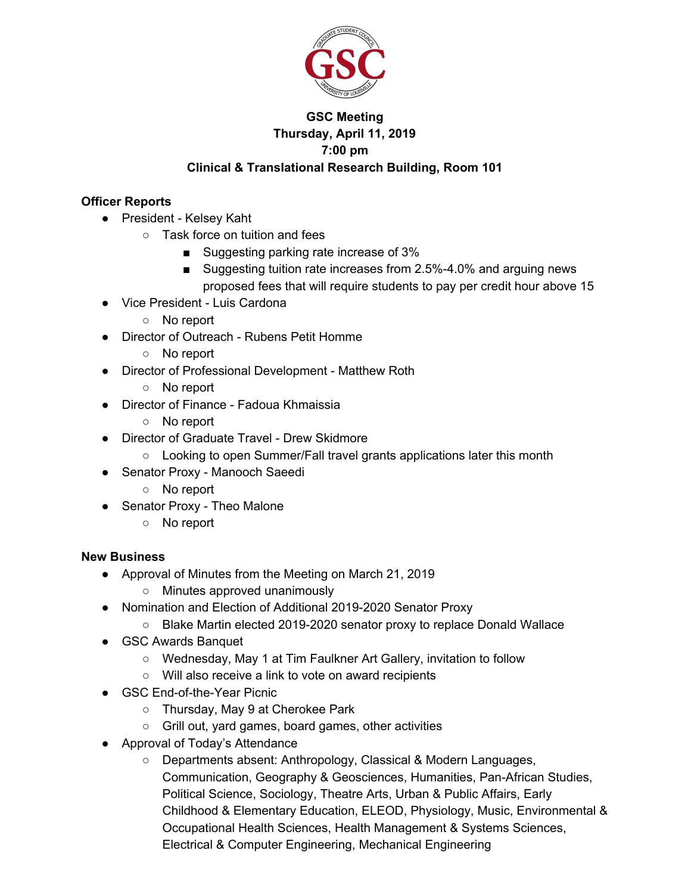

## **GSC Meeting Thursday, April 11, 2019 7:00 pm Clinical & Translational Research Building, Room 101**

## **Officer Reports**

- President Kelsey Kaht
	- Task force on tuition and fees
		- Suggesting parking rate increase of 3%
		- Suggesting tuition rate increases from 2.5%-4.0% and arguing news proposed fees that will require students to pay per credit hour above 15
- Vice President Luis Cardona
	- No report
- Director of Outreach Rubens Petit Homme
	- No report
- Director of Professional Development Matthew Roth
	- No report
- Director of Finance Fadoua Khmaissia
	- No report
- Director of Graduate Travel Drew Skidmore
	- Looking to open Summer/Fall travel grants applications later this month
- Senator Proxy Manooch Saeedi
	- No report
- Senator Proxy Theo Malone
	- No report

## **New Business**

- Approval of Minutes from the Meeting on March 21, 2019
	- Minutes approved unanimously
- Nomination and Election of Additional 2019-2020 Senator Proxy
	- Blake Martin elected 2019-2020 senator proxy to replace Donald Wallace
- GSC Awards Banquet
	- Wednesday, May 1 at Tim Faulkner Art Gallery, invitation to follow
	- Will also receive a link to vote on award recipients
- GSC End-of-the-Year Picnic
	- Thursday, May 9 at Cherokee Park
	- Grill out, yard games, board games, other activities
- Approval of Today's Attendance
	- Departments absent: Anthropology, Classical & Modern Languages, Communication, Geography & Geosciences, Humanities, Pan-African Studies, Political Science, Sociology, Theatre Arts, Urban & Public Affairs, Early Childhood & Elementary Education, ELEOD, Physiology, Music, Environmental & Occupational Health Sciences, Health Management & Systems Sciences, Electrical & Computer Engineering, Mechanical Engineering